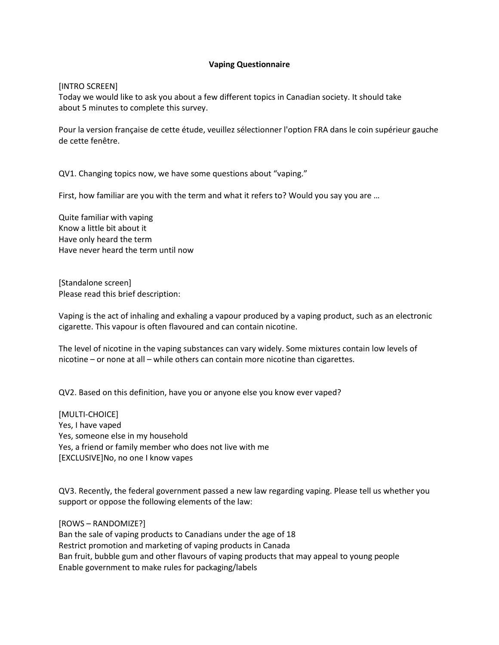## **Vaping Questionnaire**

[INTRO SCREEN]

Today we would like to ask you about a few different topics in Canadian society. It should take about 5 minutes to complete this survey. 

Pour la version française de cette étude, veuillez sélectionner l'option FRA dans le coin supérieur gauche de cette fenêtre. 

QV1. Changing topics now, we have some questions about "vaping."

First, how familiar are you with the term and what it refers to? Would you say you are …

Quite familiar with vaping Know a little bit about it Have only heard the term Have never heard the term until now

[Standalone screen] Please read this brief description:

Vaping is the act of inhaling and exhaling a vapour produced by a vaping product, such as an electronic cigarette. This vapour is often flavoured and can contain nicotine.

The level of nicotine in the vaping substances can vary widely. Some mixtures contain low levels of nicotine – or none at all – while others can contain more nicotine than cigarettes.

QV2. Based on this definition, have you or anyone else you know ever vaped?

[MULTI-CHOICE] Yes, I have vaped Yes, someone else in my household Yes, a friend or family member who does not live with me [EXCLUSIVE]No, no one I know vapes

QV3. Recently, the federal government passed a new law regarding vaping. Please tell us whether you support or oppose the following elements of the law:

[ROWS – RANDOMIZE?] Ban the sale of vaping products to Canadians under the age of 18 Restrict promotion and marketing of vaping products in Canada Ban fruit, bubble gum and other flavours of vaping products that may appeal to young people Enable government to make rules for packaging/labels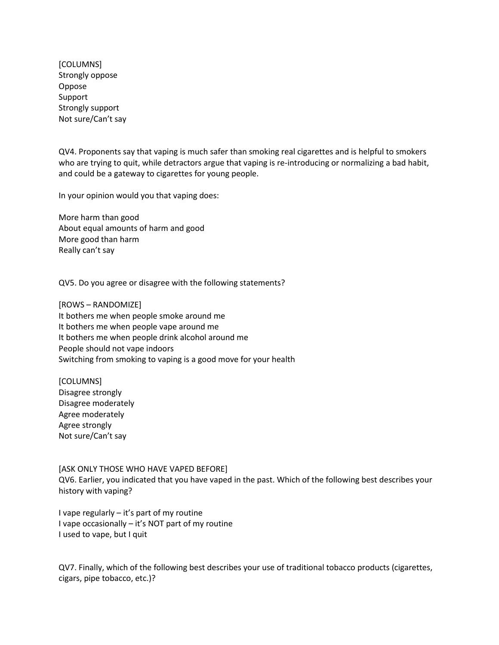[COLUMNS] Strongly oppose Oppose Support Strongly support Not sure/Can't say

QV4. Proponents say that vaping is much safer than smoking real cigarettes and is helpful to smokers who are trying to quit, while detractors argue that vaping is re-introducing or normalizing a bad habit, and could be a gateway to cigarettes for young people.

In your opinion would you that vaping does:

More harm than good About equal amounts of harm and good More good than harm Really can't say

QV5. Do you agree or disagree with the following statements?

[ROWS – RANDOMIZE] It bothers me when people smoke around me It bothers me when people vape around me It bothers me when people drink alcohol around me People should not vape indoors Switching from smoking to vaping is a good move for your health

[COLUMNS] Disagree strongly Disagree moderately Agree moderately Agree strongly Not sure/Can't say

[ASK ONLY THOSE WHO HAVE VAPED BEFORE] QV6. Earlier, you indicated that you have vaped in the past. Which of the following best describes your history with vaping?

I vape regularly – it's part of my routine I vape occasionally – it's NOT part of my routine I used to vape, but I quit

QV7. Finally, which of the following best describes your use of traditional tobacco products (cigarettes, cigars, pipe tobacco, etc.)?